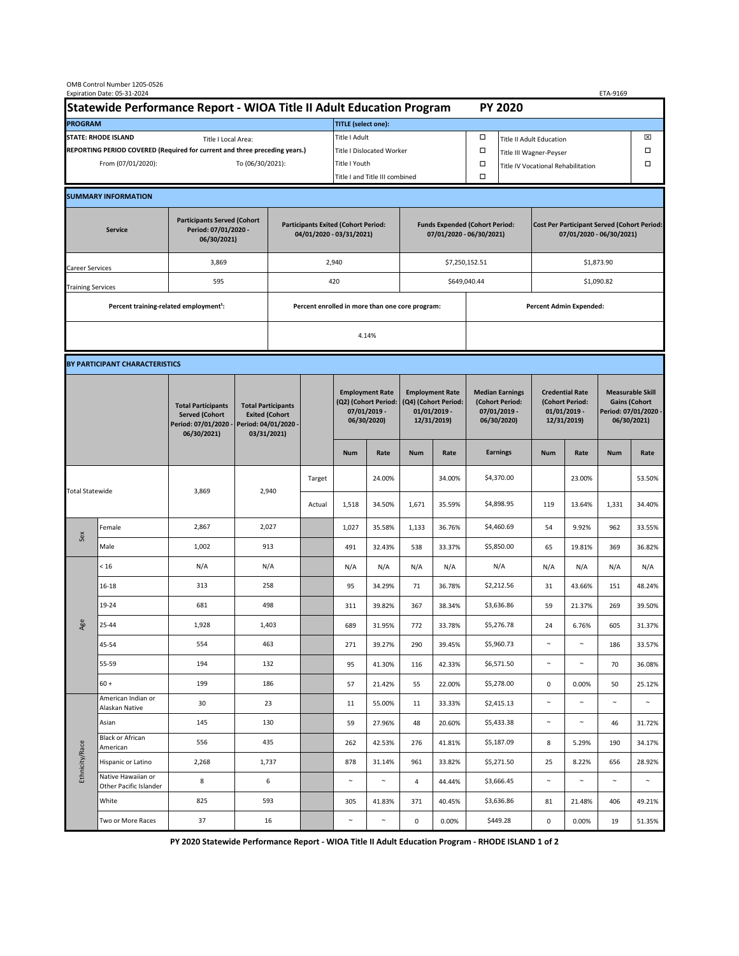| OMB Control Number 1205-0526<br>Expiration Date: 05-31-2024<br>ETA-9169                     |                                                    |                                                                                                                   |                                                 |                                                                        |        |                                                                               |                                |                                                                                 |                 |                                                                            |                                      |                                                                                |                 |                                                                                        |                  |  |
|---------------------------------------------------------------------------------------------|----------------------------------------------------|-------------------------------------------------------------------------------------------------------------------|-------------------------------------------------|------------------------------------------------------------------------|--------|-------------------------------------------------------------------------------|--------------------------------|---------------------------------------------------------------------------------|-----------------|----------------------------------------------------------------------------|--------------------------------------|--------------------------------------------------------------------------------|-----------------|----------------------------------------------------------------------------------------|------------------|--|
| Statewide Performance Report - WIOA Title II Adult Education Program                        |                                                    |                                                                                                                   |                                                 |                                                                        |        | <b>PY 2020</b>                                                                |                                |                                                                                 |                 |                                                                            |                                      |                                                                                |                 |                                                                                        |                  |  |
| <b>PROGRAM</b>                                                                              |                                                    |                                                                                                                   |                                                 |                                                                        |        |                                                                               | <b>TITLE</b> (select one):     |                                                                                 |                 |                                                                            |                                      |                                                                                |                 |                                                                                        |                  |  |
| <b>STATE: RHODE ISLAND</b><br>Title I Local Area:                                           |                                                    |                                                                                                                   |                                                 |                                                                        |        | Title I Adult                                                                 |                                |                                                                                 |                 | □                                                                          | ⊠<br><b>Title II Adult Education</b> |                                                                                |                 |                                                                                        |                  |  |
| REPORTING PERIOD COVERED (Required for current and three preceding years.)                  |                                                    |                                                                                                                   |                                                 |                                                                        |        | <b>Title I Dislocated Worker</b>                                              |                                |                                                                                 |                 | α                                                                          | Ω<br>Title III Wagner-Peyser         |                                                                                |                 |                                                                                        |                  |  |
| From (07/01/2020):<br>To (06/30/2021):                                                      |                                                    |                                                                                                                   |                                                 |                                                                        |        | Title I Youth                                                                 |                                |                                                                                 |                 | α                                                                          | Title IV Vocational Rehabilitation   |                                                                                |                 |                                                                                        | Ω                |  |
|                                                                                             |                                                    |                                                                                                                   |                                                 |                                                                        |        |                                                                               | Title I and Title III combined |                                                                                 |                 |                                                                            |                                      |                                                                                |                 |                                                                                        |                  |  |
|                                                                                             | <b>SUMMARY INFORMATION</b>                         |                                                                                                                   |                                                 |                                                                        |        |                                                                               |                                |                                                                                 |                 |                                                                            |                                      |                                                                                |                 |                                                                                        |                  |  |
| <b>Participants Served (Cohort</b><br>Period: 07/01/2020 -<br><b>Service</b><br>06/30/2021) |                                                    |                                                                                                                   |                                                 | <b>Participants Exited (Cohort Period:</b><br>04/01/2020 - 03/31/2021) |        |                                                                               |                                | <b>Funds Expended (Cohort Period:</b><br>07/01/2020 - 06/30/2021)               |                 |                                                                            |                                      | <b>Cost Per Participant Served (Cohort Period:</b><br>07/01/2020 - 06/30/2021) |                 |                                                                                        |                  |  |
| Career Services                                                                             |                                                    | 3,869                                                                                                             |                                                 |                                                                        |        | 2,940                                                                         |                                |                                                                                 |                 | \$7,250,152.51                                                             |                                      | \$1,873.90                                                                     |                 |                                                                                        |                  |  |
| <b>Training Services</b>                                                                    |                                                    | 595                                                                                                               | 420                                             |                                                                        |        |                                                                               | \$649,040.44                   |                                                                                 |                 |                                                                            | \$1,090.82                           |                                                                                |                 |                                                                                        |                  |  |
|                                                                                             | Percent training-related employment <sup>1</sup> : |                                                                                                                   | Percent enrolled in more than one core program: |                                                                        |        |                                                                               |                                |                                                                                 |                 |                                                                            |                                      | <b>Percent Admin Expended:</b>                                                 |                 |                                                                                        |                  |  |
|                                                                                             |                                                    |                                                                                                                   |                                                 | 4.14%                                                                  |        |                                                                               |                                |                                                                                 |                 |                                                                            |                                      |                                                                                |                 |                                                                                        |                  |  |
|                                                                                             |                                                    |                                                                                                                   |                                                 |                                                                        |        |                                                                               |                                |                                                                                 |                 |                                                                            |                                      |                                                                                |                 |                                                                                        |                  |  |
| BY PARTICIPANT CHARACTERISTICS                                                              |                                                    |                                                                                                                   |                                                 |                                                                        |        |                                                                               |                                |                                                                                 |                 |                                                                            |                                      |                                                                                |                 |                                                                                        |                  |  |
|                                                                                             |                                                    | <b>Total Participants</b><br><b>Served (Cohort</b><br>Period: 07/01/2020 -<br>Period: 04/01/2020 -<br>06/30/2021) |                                                 | <b>Total Participants</b><br><b>Exited (Cohort</b><br>03/31/2021)      |        | <b>Employment Rate</b><br>(Q2) (Cohort Period:<br>07/01/2019 -<br>06/30/2020) |                                | <b>Employment Rate</b><br>(Q4) (Cohort Period:<br>$01/01/2019$ -<br>12/31/2019) |                 | <b>Median Earnings</b><br>(Cohort Period:<br>$07/01/2019 -$<br>06/30/2020) |                                      | <b>Credential Rate</b><br>(Cohort Period:<br>$01/01/2019$ -<br>12/31/2019)     |                 | <b>Measurable Skill</b><br><b>Gains (Cohort</b><br>Period: 07/01/2020 -<br>06/30/2021) |                  |  |
|                                                                                             |                                                    |                                                                                                                   |                                                 |                                                                        |        | <b>Num</b>                                                                    | Rate                           | <b>Num</b>                                                                      | Rate            |                                                                            | <b>Earnings</b>                      | <b>Num</b>                                                                     | Rate            | <b>Num</b>                                                                             | Rate             |  |
| <b>Total Statewide</b>                                                                      |                                                    |                                                                                                                   |                                                 |                                                                        | Target |                                                                               | 24.00%                         |                                                                                 | 34.00%          |                                                                            | \$4,370.00                           |                                                                                | 23.00%          |                                                                                        | 53.50%           |  |
|                                                                                             |                                                    | 3,869                                                                                                             |                                                 | 2,940                                                                  | Actual | 1,518                                                                         | 34.50%                         | 1,671                                                                           | 35.59%          |                                                                            | \$4,898.95                           | 119                                                                            | 13.64%          | 1,331                                                                                  | 34.40%           |  |
|                                                                                             | Female                                             | 2,867                                                                                                             | 2,027                                           |                                                                        |        | 1,027                                                                         | 35.58%                         | 1,133                                                                           | 36.76%          |                                                                            | \$4,460.69                           | 54                                                                             | 9.92%           | 962                                                                                    | 33.55%           |  |
| Sex                                                                                         | Male                                               | 1,002                                                                                                             | 913                                             |                                                                        |        | 491                                                                           | 32.43%                         | 538                                                                             | 33.37%          |                                                                            | \$5,850.00                           | 65                                                                             | 19.81%          | 369                                                                                    | 36.82%           |  |
| Age                                                                                         | < 16                                               | N/A                                                                                                               | N/A                                             |                                                                        |        | N/A                                                                           | N/A                            | N/A                                                                             | N/A             |                                                                            | N/A                                  | N/A                                                                            | N/A             | N/A                                                                                    | N/A              |  |
|                                                                                             | 16-18                                              | 313                                                                                                               | 258                                             |                                                                        |        | 95                                                                            | 34.29%                         | 71                                                                              | 36.78%          |                                                                            | \$2,212.56                           | 31                                                                             | 43.66%          | 151                                                                                    | 48.24%           |  |
|                                                                                             | 19-24                                              | 681                                                                                                               | 498                                             |                                                                        |        | 311                                                                           | 39.82%                         | 367                                                                             | 38.34%          |                                                                            | \$3,636.86                           | 59                                                                             | 21.37%          | 269                                                                                    | 39.50%           |  |
|                                                                                             | 25-44                                              | 1,928                                                                                                             | 1,403                                           |                                                                        |        | 689                                                                           | 31.95%                         | 772                                                                             | 33.78%          |                                                                            | \$5,276.78                           | 24                                                                             | 6.76%           | 605                                                                                    | 31.37%           |  |
|                                                                                             | 45-54                                              | 554                                                                                                               | 463                                             |                                                                        |        | 271                                                                           | 39.27%                         | 290                                                                             | 39.45%          |                                                                            | \$5,960.73                           | $\sim$                                                                         | $\sim$          | 186                                                                                    | 33.57%           |  |
|                                                                                             | 55-59                                              | 194                                                                                                               | 132                                             |                                                                        |        | 95                                                                            | 41.30%                         | 116                                                                             | 42.33%          |                                                                            | \$6,571.50                           | $\sim$                                                                         | $\sim$          | 70                                                                                     | 36.08%           |  |
|                                                                                             | $60 +$<br>American Indian or                       | 199                                                                                                               | 186                                             |                                                                        |        | 57                                                                            | 21.42%                         | 55                                                                              | 22.00%          |                                                                            | \$5,278.00                           | 0                                                                              | 0.00%           | 50                                                                                     | 25.12%           |  |
| Ethnicity/Race                                                                              | Alaskan Native                                     | 30                                                                                                                | 23                                              |                                                                        |        | 11                                                                            | 55.00%                         | 11                                                                              | 33.33%          |                                                                            | \$2,415.13                           | $\sim$                                                                         | $\sim$          | $\sim$                                                                                 | $\sim$           |  |
|                                                                                             | Asian<br><b>Black or African</b>                   | 145                                                                                                               | 130                                             |                                                                        |        | 59                                                                            | 27.96%                         | 48                                                                              | 20.60%          |                                                                            | \$5,433.38                           | $\sim$                                                                         | $\sim$          | 46                                                                                     | 31.72%           |  |
|                                                                                             | American                                           | 556                                                                                                               | 435                                             |                                                                        |        | 262                                                                           | 42.53%                         | 276                                                                             | 41.81%          |                                                                            | \$5,187.09                           | 8                                                                              | 5.29%           | 190                                                                                    | 34.17%           |  |
|                                                                                             | Hispanic or Latino<br>Native Hawaiian or           | 2,268                                                                                                             | 1,737                                           |                                                                        |        | 878<br>$\sim$                                                                 | 31.14%<br>$\sim$               | 961                                                                             | 33.82%          |                                                                            | \$5,271.50                           | 25<br>$\sim$                                                                   | 8.22%<br>$\sim$ | 656<br>$\sim$                                                                          | 28.92%<br>$\sim$ |  |
|                                                                                             | Other Pacific Islander<br>White                    | 8<br>825                                                                                                          | 6<br>593                                        |                                                                        |        |                                                                               |                                | 4                                                                               | 44.44%          |                                                                            | \$3,666.45<br>\$3,636.86             |                                                                                |                 |                                                                                        |                  |  |
|                                                                                             | Two or More Races                                  | 37                                                                                                                | 16                                              |                                                                        |        | 305<br>$\sim$                                                                 | 41.83%<br>$\sim$               | 371<br>$\mathsf{O}\xspace$                                                      | 40.45%<br>0.00% |                                                                            | \$449.28                             | 81<br>0                                                                        | 21.48%<br>0.00% | 406<br>19                                                                              | 49.21%<br>51.35% |  |
|                                                                                             |                                                    |                                                                                                                   |                                                 |                                                                        |        |                                                                               |                                |                                                                                 |                 |                                                                            |                                      |                                                                                |                 |                                                                                        |                  |  |

**PY 2020 Statewide Performance Report - WIOA Title II Adult Education Program - RHODE ISLAND 1 of 2**